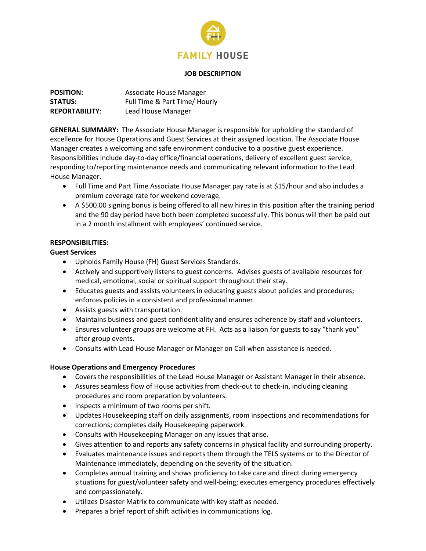

#### **JOB DESCRIPTION**

| <b>POSITION:</b>      | Associate House Manager       |
|-----------------------|-------------------------------|
| <b>STATUS:</b>        | Full Time & Part Time/ Hourly |
| <b>REPORTABILITY:</b> | Lead House Manager            |

**GENERAL SUMMARY:** The Associate House Manager is responsible for upholding the standard of excellence for House Operations and Guest Services at their assigned location. The Associate House Manager creates a welcoming and safe environment conducive to a positive guest experience. Responsibilities include day-to-day office/financial operations, delivery of excellent guest service, responding to/reporting maintenance needs and communicating relevant information to the Lead House Manager.

- Full Time and Part Time Associate House Manager pay rate is at \$15/hour and also includes a premium coverage rate for weekend coverage.
- A \$500.00 signing bonus is being offered to all new hires in this position after the training period and the 90 day period have both been completed successfully. This bonus will then be paid out in a 2 month installment with employees' continued service.

## **RESPONSIBILITIES:**

## **Guest Services**

- Upholds Family House (FH) Guest Services Standards.
- Actively and supportively listens to guest concerns. Advises guests of available resources for medical, emotional, social or spiritual support throughout their stay.
- Educates guests and assists volunteers in educating guests about policies and procedures; enforces policies in a consistent and professional manner.
- Assists guests with transportation.
- Maintains business and guest confidentiality and ensures adherence by staff and volunteers.
- Ensures volunteer groups are welcome at FH. Acts as a liaison for guests to say "thank you" after group events.
- Consults with Lead House Manager or Manager on Call when assistance is needed.

### **House Operations and Emergency Procedures**

- Covers the responsibilities of the Lead House Manager or Assistant Manager in their absence.
- Assures seamless flow of House activities from check-out to check-in, including cleaning procedures and room preparation by volunteers.
- Inspects a minimum of two rooms per shift.
- Updates Housekeeping staff on daily assignments, room inspections and recommendations for corrections; completes daily Housekeeping paperwork.
- Consults with Housekeeping Manager on any issues that arise.
- Gives attention to and reports any safety concerns in physical facility and surrounding property.
- Evaluates maintenance issues and reports them through the TELS systems or to the Director of Maintenance immediately, depending on the severity of the situation.
- Completes annual training and shows proficiency to take care and direct during emergency situations for guest/volunteer safety and well-being; executes emergency procedures effectively and compassionately.
- Utilizes Disaster Matrix to communicate with key staff as needed.
- Prepares a brief report of shift activities in communications log.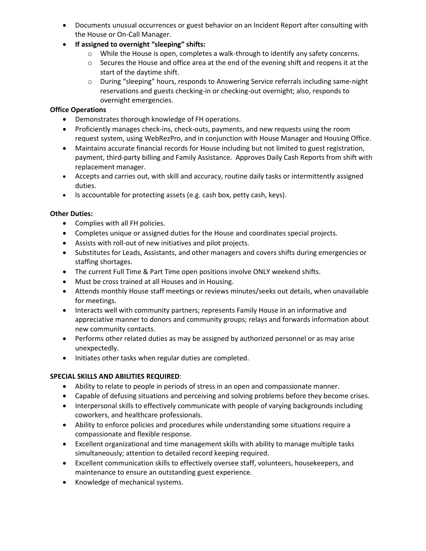- Documents unusual occurrences or guest behavior on an Incident Report after consulting with the House or On-Call Manager.
- **If assigned to overnight "sleeping" shifts:**
	- $\circ$  While the House is open, completes a walk-through to identify any safety concerns.
	- $\circ$  Secures the House and office area at the end of the evening shift and reopens it at the start of the daytime shift.
	- o During "sleeping" hours, responds to Answering Service referrals including same-night reservations and guests checking-in or checking-out overnight; also, responds to overnight emergencies.

# **Office Operations**

- Demonstrates thorough knowledge of FH operations.
- Proficiently manages check-ins, check-outs, payments, and new requests using the room request system, using WebRezPro, and in conjunction with House Manager and Housing Office.
- Maintains accurate financial records for House including but not limited to guest registration, payment, third-party billing and Family Assistance. Approves Daily Cash Reports from shift with replacement manager.
- Accepts and carries out, with skill and accuracy, routine daily tasks or intermittently assigned duties.
- Is accountable for protecting assets (e.g. cash box, petty cash, keys).

## **Other Duties:**

- Complies with all FH policies.
- Completes unique or assigned duties for the House and coordinates special projects.
- Assists with roll-out of new initiatives and pilot projects.
- Substitutes for Leads, Assistants, and other managers and covers shifts during emergencies or staffing shortages.
- The current Full Time & Part Time open positions involve ONLY weekend shifts.
- Must be cross trained at all Houses and in Housing.
- Attends monthly House staff meetings or reviews minutes/seeks out details, when unavailable for meetings.
- Interacts well with community partners; represents Family House in an informative and appreciative manner to donors and community groups; relays and forwards information about new community contacts.
- Performs other related duties as may be assigned by authorized personnel or as may arise unexpectedly.
- Initiates other tasks when regular duties are completed.

### **SPECIAL SKILLS AND ABILITIES REQUIRED**:

- Ability to relate to people in periods of stress in an open and compassionate manner.
- Capable of defusing situations and perceiving and solving problems before they become crises.
- Interpersonal skills to effectively communicate with people of varying backgrounds including coworkers, and healthcare professionals.
- Ability to enforce policies and procedures while understanding some situations require a compassionate and flexible response.
- Excellent organizational and time management skills with ability to manage multiple tasks simultaneously; attention to detailed record keeping required.
- Excellent communication skills to effectively oversee staff, volunteers, housekeepers, and maintenance to ensure an outstanding guest experience.
- Knowledge of mechanical systems.